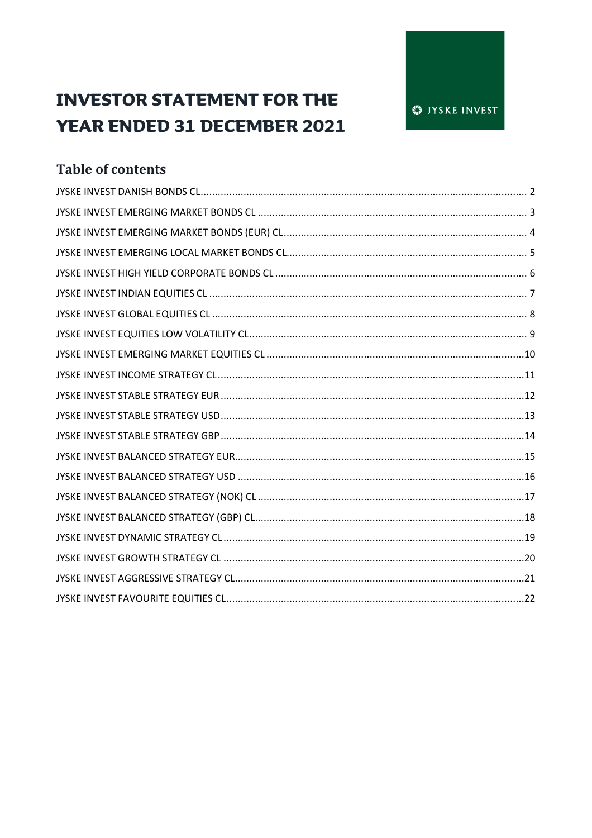# **INVESTOR STATEMENT FOR THE YEAR ENDED 31 DECEMBER 2021**

# **Table of contents**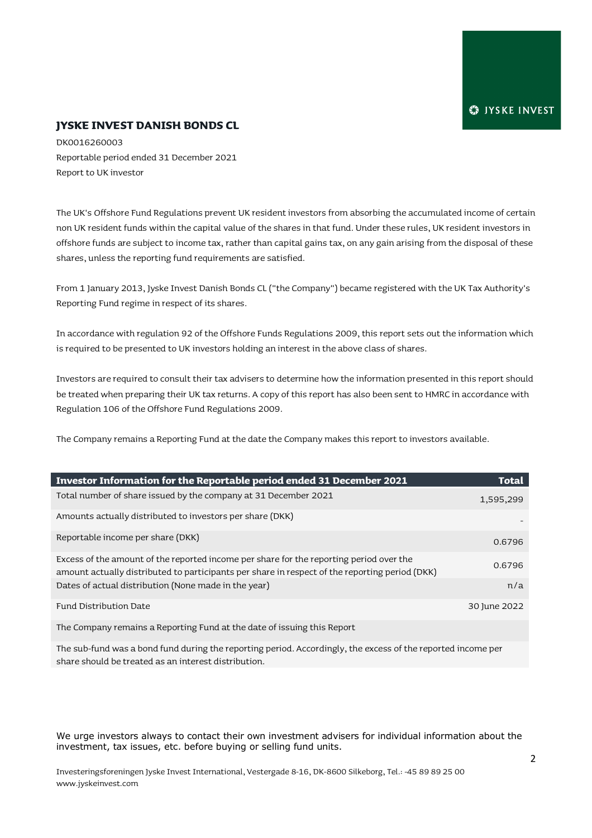#### **JYSKE INVEST DANISH BONDS CL**

DK0016260003 Reportable period ended 31 December 2021 Report to UK investor

The UK's Offshore Fund Regulations prevent UK resident investors from absorbing the accumulated income of certain non UK resident funds within the capital value of the shares in that fund. Under these rules, UK resident investors in offshore funds are subject to income tax, rather than capital gains tax, on any gain arising from the disposal of these shares, unless the reporting fund requirements are satisfied.

From 1 January 2013, Jyske Invest Danish Bonds CL ("the Company") became registered with the UK Tax Authority's Reporting Fund regime in respect of its shares.

In accordance with regulation 92 of the Offshore Funds Regulations 2009, this report sets out the information which is required to be presented to UK investors holding an interest in the above class of shares.

Investors are required to consult their tax advisers to determine how the information presented in this report should be treated when preparing their UK tax returns. A copy of this report has also been sent to HMRC in accordance with Regulation 106 of the Offshore Fund Regulations 2009.

The Company remains a Reporting Fund at the date the Company makes this report to investors available.

| Investor Information for the Reportable period ended 31 December 2021                          | Total        |
|------------------------------------------------------------------------------------------------|--------------|
| Total number of share issued by the company at 31 December 2021                                | 1,595,299    |
| Amounts actually distributed to investors per share (DKK)                                      |              |
| Reportable income per share (DKK)                                                              | 0.6796       |
| Excess of the amount of the reported income per share for the reporting period over the        | 0.6796       |
| amount actually distributed to participants per share in respect of the reporting period (DKK) |              |
| Dates of actual distribution (None made in the year)                                           | n/a          |
| Fund Distribution Date                                                                         | 30 June 2022 |
| The Company remains a Reporting Fund at the date of issuing this Report                        |              |
|                                                                                                |              |

The sub-fund was a bond fund during the reporting period. Accordingly, the excess of the reported income per share should be treated as an interest distribution.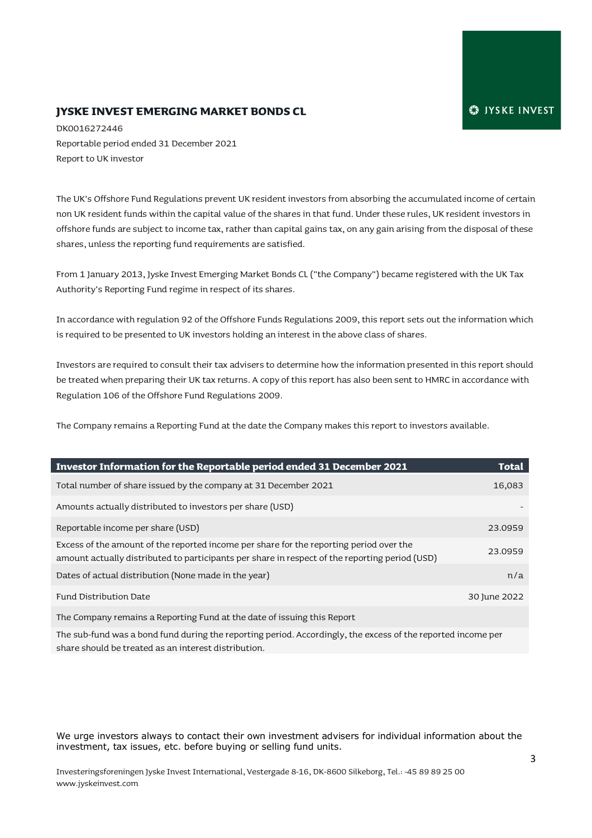#### **JYSKE INVEST EMERGING MARKET BONDS CL**

DK0016272446 Reportable period ended 31 December 2021 Report to UK investor

The UK's Offshore Fund Regulations prevent UK resident investors from absorbing the accumulated income of certain non UK resident funds within the capital value of the shares in that fund. Under these rules, UK resident investors in offshore funds are subject to income tax, rather than capital gains tax, on any gain arising from the disposal of these shares, unless the reporting fund requirements are satisfied.

From 1 January 2013, Jyske Invest Emerging Market Bonds CL ("the Company") became registered with the UK Tax Authority's Reporting Fund regime in respect of its shares.

In accordance with regulation 92 of the Offshore Funds Regulations 2009, this report sets out the information which is required to be presented to UK investors holding an interest in the above class of shares.

Investors are required to consult their tax advisers to determine how the information presented in this report should be treated when preparing their UK tax returns. A copy of this report has also been sent to HMRC in accordance with Regulation 106 of the Offshore Fund Regulations 2009.

The Company remains a Reporting Fund at the date the Company makes this report to investors available.

| Investor Information for the Reportable period ended 31 December 2021                                                                                                                     | Total        |
|-------------------------------------------------------------------------------------------------------------------------------------------------------------------------------------------|--------------|
| Total number of share issued by the company at 31 December 2021                                                                                                                           | 16,083       |
| Amounts actually distributed to investors per share (USD)                                                                                                                                 |              |
| Reportable income per share (USD)                                                                                                                                                         | 23.0959      |
| Excess of the amount of the reported income per share for the reporting period over the<br>amount actually distributed to participants per share in respect of the reporting period (USD) | 23.0959      |
| Dates of actual distribution (None made in the year)                                                                                                                                      | n/a          |
| Fund Distribution Date                                                                                                                                                                    | 30 June 2022 |
| The Contract of the Contractor of the contract Teachers' and a shake of the colored that Department                                                                                       |              |

The Company remains a Reporting Fund at the date of issuing this Report

The sub-fund was a bond fund during the reporting period. Accordingly, the excess of the reported income per share should be treated as an interest distribution.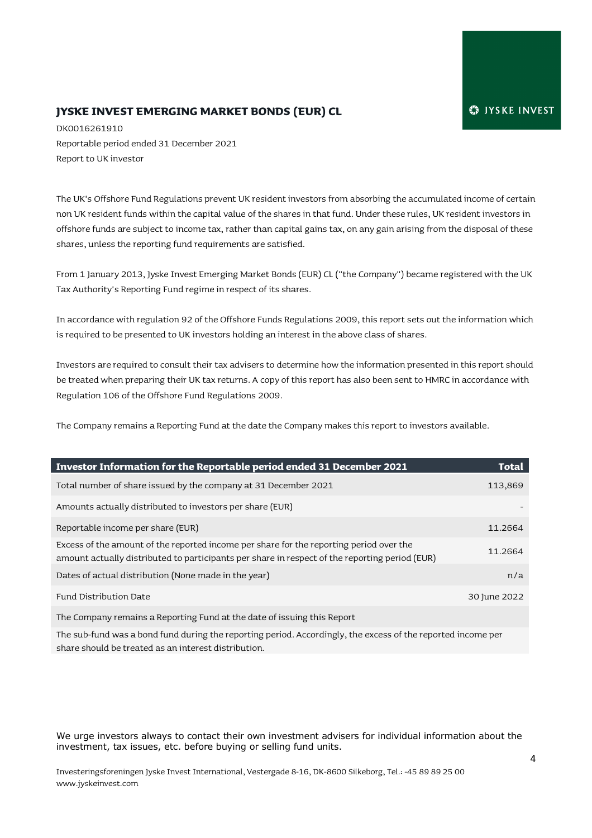#### **JYSKE INVEST EMERGING MARKET BONDS (EUR) CL**

DK0016261910 Reportable period ended 31 December 2021 Report to UK investor

The UK's Offshore Fund Regulations prevent UK resident investors from absorbing the accumulated income of certain non UK resident funds within the capital value of the shares in that fund. Under these rules, UK resident investors in offshore funds are subject to income tax, rather than capital gains tax, on any gain arising from the disposal of these shares, unless the reporting fund requirements are satisfied.

From 1 January 2013, Jyske Invest Emerging Market Bonds (EUR) CL ("the Company") became registered with the UK Tax Authority's Reporting Fund regime in respect of its shares.

In accordance with regulation 92 of the Offshore Funds Regulations 2009, this report sets out the information which is required to be presented to UK investors holding an interest in the above class of shares.

Investors are required to consult their tax advisers to determine how the information presented in this report should be treated when preparing their UK tax returns. A copy of this report has also been sent to HMRC in accordance with Regulation 106 of the Offshore Fund Regulations 2009.

The Company remains a Reporting Fund at the date the Company makes this report to investors available.

| Investor Information for the Reportable period ended 31 December 2021                                                                                                                     | Total        |
|-------------------------------------------------------------------------------------------------------------------------------------------------------------------------------------------|--------------|
| Total number of share issued by the company at 31 December 2021                                                                                                                           | 113,869      |
| Amounts actually distributed to investors per share (EUR)                                                                                                                                 |              |
| Reportable income per share (EUR)                                                                                                                                                         | 11.2664      |
| Excess of the amount of the reported income per share for the reporting period over the<br>amount actually distributed to participants per share in respect of the reporting period (EUR) | 11.2664      |
| Dates of actual distribution (None made in the year)                                                                                                                                      | n/a          |
| Fund Distribution Date                                                                                                                                                                    | 30 June 2022 |
|                                                                                                                                                                                           |              |

The Company remains a Reporting Fund at the date of issuing this Report

The sub-fund was a bond fund during the reporting period. Accordingly, the excess of the reported income per share should be treated as an interest distribution.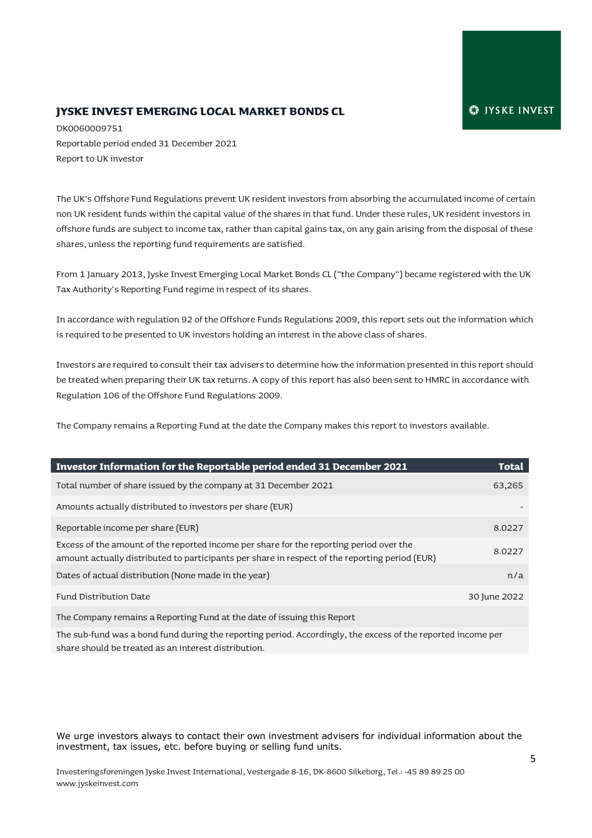#### **JYSKE INVEST EMERGING LOCAL MARKET BONDS CL**

DK0060009751 Reportable period ended 31 December 2021 Report to UK investor

The UK's Offshore Fund Regulations prevent UK resident investors from absorbing the accumulated income of certain non UK resident funds within the capital value of the shares in that fund. Under these rules, UK resident investors in offshore funds are subject to income tax, rather than capital gains tax, on any gain arising from the disposal of these shares, unless the reporting fund requirements are satisfied.

From 1 January 2013, Jyske Invest Emerging Local Market Bonds CL ("the Company") became registered with the UK Tax Authority's Reporting Fund regime in respect of its shares.

In accordance with regulation 92 of the Offshore Funds Regulations 2009, this report sets out the information which is required to be presented to UK investors holding an interest in the above class of shares.

Investors are required to consult their tax advisers to determine how the information presented in this report should be treated when preparing their UK tax returns. A copy of this report has also been sent to HMRC in accordance with Regulation 106 of the Offshore Fund Regulations 2009.

The Company remains a Reporting Fund at the date the Company makes this report to investors available.

| Investor Information for the Reportable period ended 31 December 2021                                                                                                                     | Total        |
|-------------------------------------------------------------------------------------------------------------------------------------------------------------------------------------------|--------------|
| Total number of share issued by the company at 31 December 2021                                                                                                                           | 63,265       |
| Amounts actually distributed to investors per share (EUR)                                                                                                                                 |              |
| Reportable income per share (EUR)                                                                                                                                                         | 8.0227       |
| Excess of the amount of the reported income per share for the reporting period over the<br>amount actually distributed to participants per share in respect of the reporting period (EUR) | 8.0227       |
| Dates of actual distribution (None made in the year)                                                                                                                                      | n/a          |
| Fund Distribution Date                                                                                                                                                                    | 30 June 2022 |
|                                                                                                                                                                                           |              |

The Company remains a Reporting Fund at the date of issuing this Report

The sub-fund was a bond fund during the reporting period. Accordingly, the excess of the reported income per share should be treated as an interest distribution.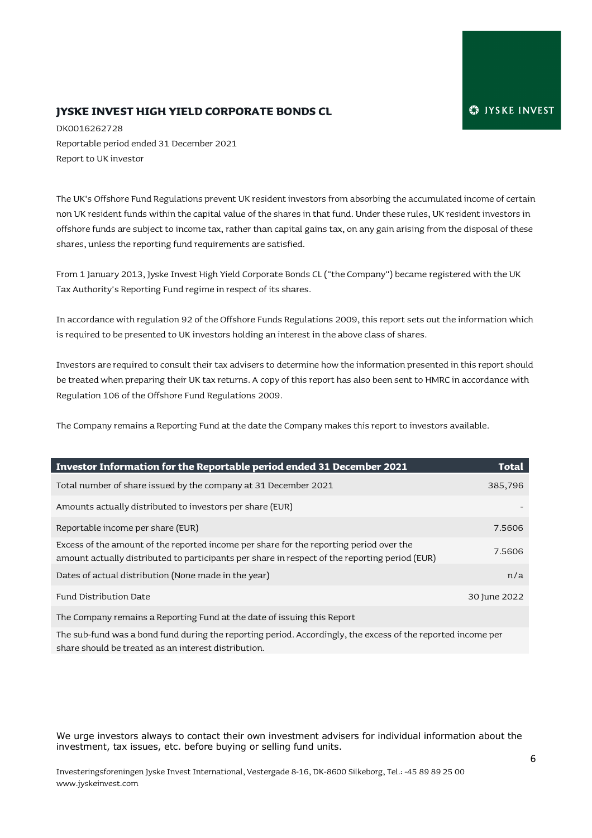#### **JYSKE INVEST HIGH YIELD CORPORATE BONDS CL**

DK0016262728 Reportable period ended 31 December 2021 Report to UK investor

The UK's Offshore Fund Regulations prevent UK resident investors from absorbing the accumulated income of certain non UK resident funds within the capital value of the shares in that fund. Under these rules, UK resident investors in offshore funds are subject to income tax, rather than capital gains tax, on any gain arising from the disposal of these shares, unless the reporting fund requirements are satisfied.

From 1 January 2013, Jyske Invest High Yield Corporate Bonds CL ("the Company") became registered with the UK Tax Authority's Reporting Fund regime in respect of its shares.

In accordance with regulation 92 of the Offshore Funds Regulations 2009, this report sets out the information which is required to be presented to UK investors holding an interest in the above class of shares.

Investors are required to consult their tax advisers to determine how the information presented in this report should be treated when preparing their UK tax returns. A copy of this report has also been sent to HMRC in accordance with Regulation 106 of the Offshore Fund Regulations 2009.

The Company remains a Reporting Fund at the date the Company makes this report to investors available.

| Investor Information for the Reportable period ended 31 December 2021                                                                                                                     | Total        |
|-------------------------------------------------------------------------------------------------------------------------------------------------------------------------------------------|--------------|
| Total number of share issued by the company at 31 December 2021                                                                                                                           | 385,796      |
| Amounts actually distributed to investors per share (EUR)                                                                                                                                 |              |
| Reportable income per share (EUR)                                                                                                                                                         | 7.5606       |
| Excess of the amount of the reported income per share for the reporting period over the<br>amount actually distributed to participants per share in respect of the reporting period (EUR) | 7.5606       |
| Dates of actual distribution (None made in the year)                                                                                                                                      | n/a          |
| Fund Distribution Date                                                                                                                                                                    | 30 June 2022 |
| The Common remains a Denorting Fund of the data of issuing this Denort                                                                                                                    |              |

The Company remains a Reporting Fund at the date of issuing this Report

The sub-fund was a bond fund during the reporting period. Accordingly, the excess of the reported income per share should be treated as an interest distribution.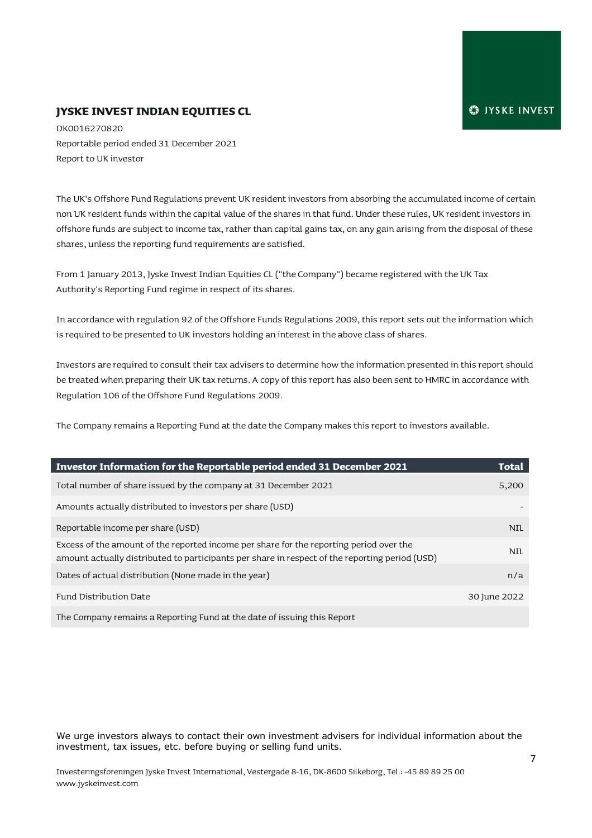#### **JYSKE INVEST INDIAN EQUITIES CL**

DK0016270820 Reportable period ended 31 December 2021 Report to UK investor

The UK's Offshore Fund Regulations prevent UK resident investors from absorbing the accumulated income of certain non UK resident funds within the capital value of the shares in that fund. Under these rules, UK resident investors in offshore funds are subject to income tax, rather than capital gains tax, on any gain arising from the disposal of these shares, unless the reporting fund requirements are satisfied.

From 1 January 2013, Jyske Invest Indian Equities CL ("the Company") became registered with the UK Tax Authority's Reporting Fund regime in respect of its shares.

In accordance with regulation 92 of the Offshore Funds Regulations 2009, this report sets out the information which is required to be presented to UK investors holding an interest in the above class of shares.

Investors are required to consult their tax advisers to determine how the information presented in this report should be treated when preparing their UK tax returns. A copy of this report has also been sent to HMRC in accordance with Regulation 106 of the Offshore Fund Regulations 2009.

The Company remains a Reporting Fund at the date the Company makes this report to investors available.

| Investor Information for the Reportable period ended 31 December 2021                                                                                                                     | <b>Total</b> |
|-------------------------------------------------------------------------------------------------------------------------------------------------------------------------------------------|--------------|
| Total number of share issued by the company at 31 December 2021                                                                                                                           | 5,200        |
| Amounts actually distributed to investors per share (USD)                                                                                                                                 |              |
| Reportable income per share (USD)                                                                                                                                                         | <b>NIL</b>   |
| Excess of the amount of the reported income per share for the reporting period over the<br>amount actually distributed to participants per share in respect of the reporting period (USD) | <b>NIL</b>   |
| Dates of actual distribution (None made in the year)                                                                                                                                      | n/a          |
| Fund Distribution Date                                                                                                                                                                    | 30 June 2022 |
| The Company remains a Reporting Fund at the date of issuing this Report                                                                                                                   |              |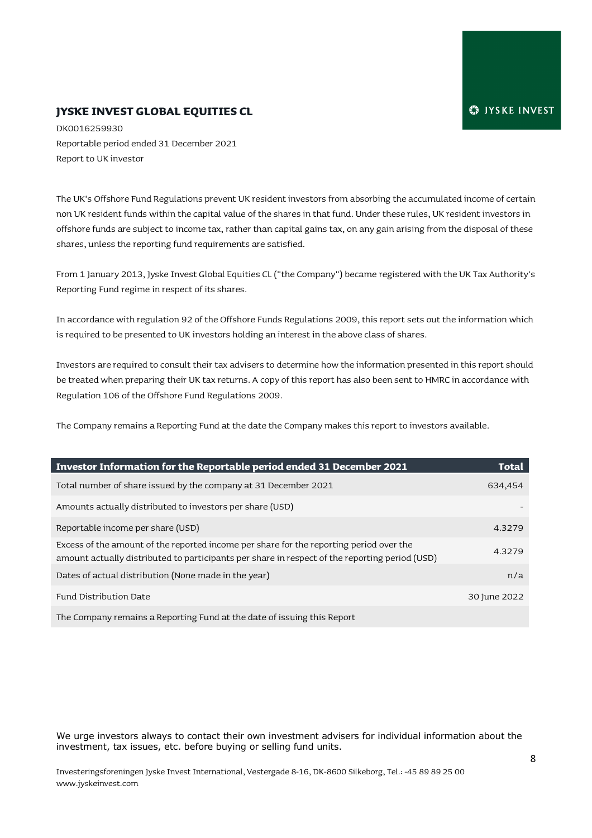#### **JYSKE INVEST GLOBAL EQUITIES CL**

DK0016259930 Reportable period ended 31 December 2021 Report to UK investor

The UK's Offshore Fund Regulations prevent UK resident investors from absorbing the accumulated income of certain non UK resident funds within the capital value of the shares in that fund. Under these rules, UK resident investors in offshore funds are subject to income tax, rather than capital gains tax, on any gain arising from the disposal of these shares, unless the reporting fund requirements are satisfied.

From 1 January 2013, Jyske Invest Global Equities CL ("the Company") became registered with the UK Tax Authority's Reporting Fund regime in respect of its shares.

In accordance with regulation 92 of the Offshore Funds Regulations 2009, this report sets out the information which is required to be presented to UK investors holding an interest in the above class of shares.

Investors are required to consult their tax advisers to determine how the information presented in this report should be treated when preparing their UK tax returns. A copy of this report has also been sent to HMRC in accordance with Regulation 106 of the Offshore Fund Regulations 2009.

The Company remains a Reporting Fund at the date the Company makes this report to investors available.

| Investor Information for the Reportable period ended 31 December 2021                                                                                                                     | Total        |
|-------------------------------------------------------------------------------------------------------------------------------------------------------------------------------------------|--------------|
| Total number of share issued by the company at 31 December 2021                                                                                                                           | 634,454      |
| Amounts actually distributed to investors per share (USD)                                                                                                                                 |              |
| Reportable income per share (USD)                                                                                                                                                         | 4.3279       |
| Excess of the amount of the reported income per share for the reporting period over the<br>amount actually distributed to participants per share in respect of the reporting period (USD) | 4.3279       |
| Dates of actual distribution (None made in the year)                                                                                                                                      | n/a          |
| Fund Distribution Date                                                                                                                                                                    | 30 June 2022 |
| The Company remains a Reporting Fund at the date of issuing this Report                                                                                                                   |              |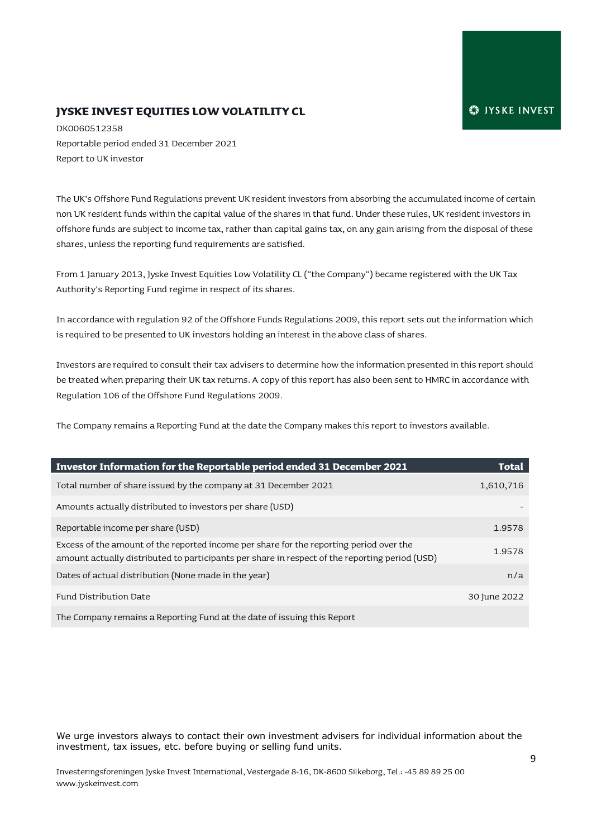# **JYSKE INVEST EQUITIES LOW VOLATILITY CL**

DK0060512358 Reportable period ended 31 December 2021 Report to UK investor

The UK's Offshore Fund Regulations prevent UK resident investors from absorbing the accumulated income of certain non UK resident funds within the capital value of the shares in that fund. Under these rules, UK resident investors in offshore funds are subject to income tax, rather than capital gains tax, on any gain arising from the disposal of these shares, unless the reporting fund requirements are satisfied.

From 1 January 2013, Jyske Invest Equities Low Volatility CL ("the Company") became registered with the UK Tax Authority's Reporting Fund regime in respect of its shares.

In accordance with regulation 92 of the Offshore Funds Regulations 2009, this report sets out the information which is required to be presented to UK investors holding an interest in the above class of shares.

Investors are required to consult their tax advisers to determine how the information presented in this report should be treated when preparing their UK tax returns. A copy of this report has also been sent to HMRC in accordance with Regulation 106 of the Offshore Fund Regulations 2009.

The Company remains a Reporting Fund at the date the Company makes this report to investors available.

| Investor Information for the Reportable period ended 31 December 2021                                                                                                                     | Total        |
|-------------------------------------------------------------------------------------------------------------------------------------------------------------------------------------------|--------------|
| Total number of share issued by the company at 31 December 2021                                                                                                                           | 1,610,716    |
| Amounts actually distributed to investors per share (USD)                                                                                                                                 |              |
| Reportable income per share (USD)                                                                                                                                                         | 1.9578       |
| Excess of the amount of the reported income per share for the reporting period over the<br>amount actually distributed to participants per share in respect of the reporting period (USD) | 1.9578       |
| Dates of actual distribution (None made in the year)                                                                                                                                      | n/a          |
| Fund Distribution Date                                                                                                                                                                    | 30 June 2022 |
| The Company remains a Reporting Fund at the date of issuing this Report                                                                                                                   |              |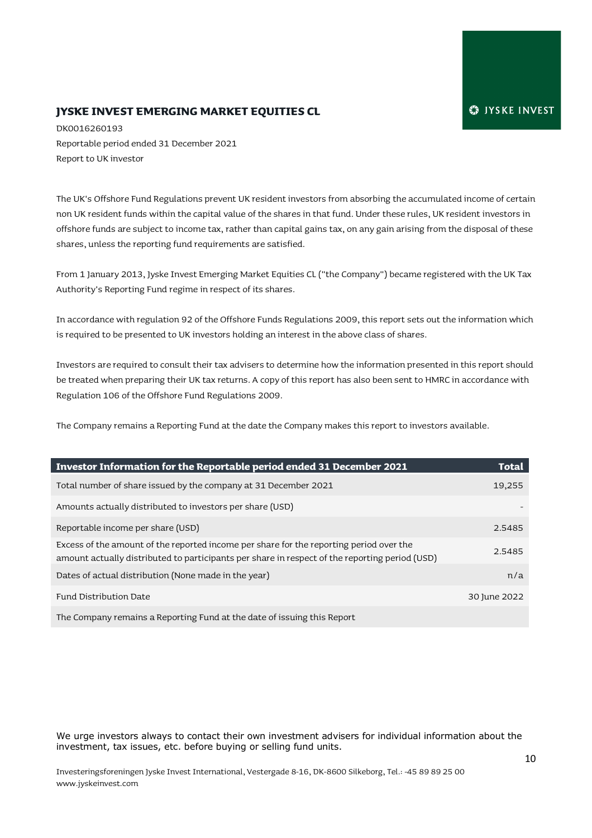#### **JYSKE INVEST EMERGING MARKET EQUITIES CL**

DK0016260193 Reportable period ended 31 December 2021 Report to UK investor

The UK's Offshore Fund Regulations prevent UK resident investors from absorbing the accumulated income of certain non UK resident funds within the capital value of the shares in that fund. Under these rules, UK resident investors in offshore funds are subject to income tax, rather than capital gains tax, on any gain arising from the disposal of these shares, unless the reporting fund requirements are satisfied.

From 1 January 2013, Jyske Invest Emerging Market Equities CL ("the Company") became registered with the UK Tax Authority's Reporting Fund regime in respect of its shares.

In accordance with regulation 92 of the Offshore Funds Regulations 2009, this report sets out the information which is required to be presented to UK investors holding an interest in the above class of shares.

Investors are required to consult their tax advisers to determine how the information presented in this report should be treated when preparing their UK tax returns. A copy of this report has also been sent to HMRC in accordance with Regulation 106 of the Offshore Fund Regulations 2009.

The Company remains a Reporting Fund at the date the Company makes this report to investors available.

| Investor Information for the Reportable period ended 31 December 2021                                                                                                                     | <b>Total</b> |
|-------------------------------------------------------------------------------------------------------------------------------------------------------------------------------------------|--------------|
| Total number of share issued by the company at 31 December 2021                                                                                                                           | 19,255       |
| Amounts actually distributed to investors per share (USD)                                                                                                                                 |              |
| Reportable income per share (USD)                                                                                                                                                         | 2.5485       |
| Excess of the amount of the reported income per share for the reporting period over the<br>amount actually distributed to participants per share in respect of the reporting period (USD) | 2.5485       |
| Dates of actual distribution (None made in the year)                                                                                                                                      | n/a          |
| Fund Distribution Date                                                                                                                                                                    | 30 June 2022 |
| The Company remains a Reporting Fund at the date of issuing this Report                                                                                                                   |              |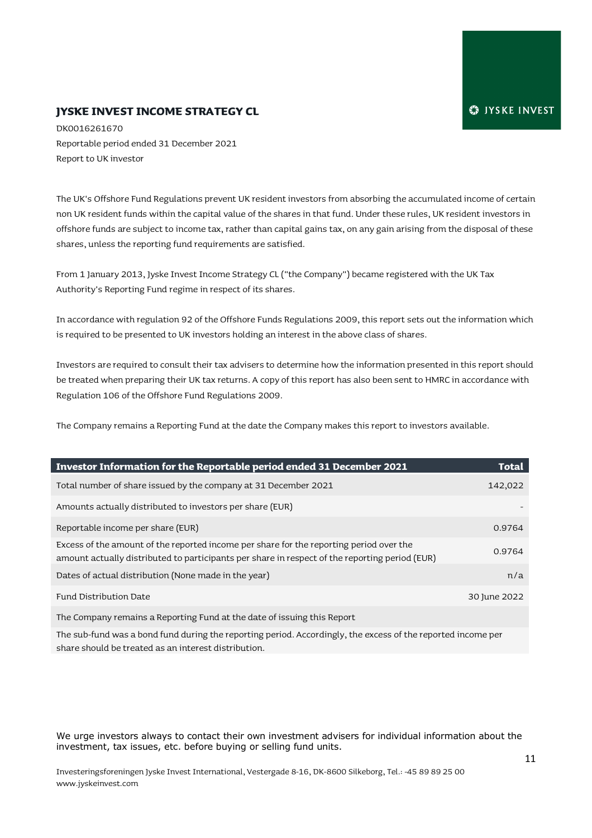#### **JYSKE INVEST INCOME STRATEGY CL**

DK0016261670 Reportable period ended 31 December 2021 Report to UK investor

The UK's Offshore Fund Regulations prevent UK resident investors from absorbing the accumulated income of certain non UK resident funds within the capital value of the shares in that fund. Under these rules, UK resident investors in offshore funds are subject to income tax, rather than capital gains tax, on any gain arising from the disposal of these shares, unless the reporting fund requirements are satisfied.

From 1 January 2013, Jyske Invest Income Strategy CL ("the Company") became registered with the UK Tax Authority's Reporting Fund regime in respect of its shares.

In accordance with regulation 92 of the Offshore Funds Regulations 2009, this report sets out the information which is required to be presented to UK investors holding an interest in the above class of shares.

Investors are required to consult their tax advisers to determine how the information presented in this report should be treated when preparing their UK tax returns. A copy of this report has also been sent to HMRC in accordance with Regulation 106 of the Offshore Fund Regulations 2009.

The Company remains a Reporting Fund at the date the Company makes this report to investors available.

| Investor Information for the Reportable period ended 31 December 2021                                                                                                                     | Total        |
|-------------------------------------------------------------------------------------------------------------------------------------------------------------------------------------------|--------------|
| Total number of share issued by the company at 31 December 2021                                                                                                                           | 142,022      |
| Amounts actually distributed to investors per share (EUR)                                                                                                                                 |              |
| Reportable income per share (EUR)                                                                                                                                                         | 0.9764       |
| Excess of the amount of the reported income per share for the reporting period over the<br>amount actually distributed to participants per share in respect of the reporting period (EUR) | 0.9764       |
| Dates of actual distribution (None made in the year)                                                                                                                                      | n/a          |
| Fund Distribution Date                                                                                                                                                                    | 30 June 2022 |
| The Company remains a Departing Fund of the date of icquire this Depart                                                                                                                   |              |

The Company remains a Reporting Fund at the date of issuing this Report

The sub-fund was a bond fund during the reporting period. Accordingly, the excess of the reported income per share should be treated as an interest distribution.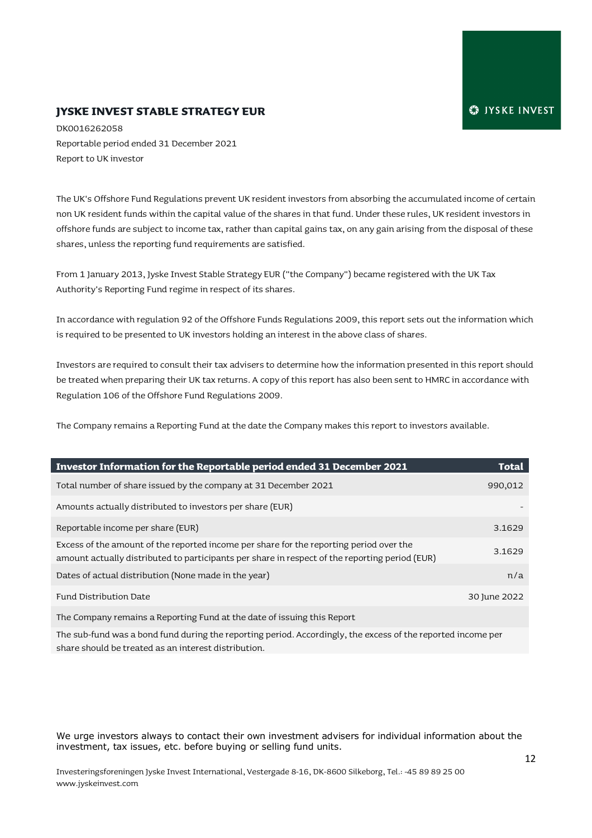#### **JYSKE INVEST STABLE STRATEGY EUR**

DK0016262058 Reportable period ended 31 December 2021 Report to UK investor

The UK's Offshore Fund Regulations prevent UK resident investors from absorbing the accumulated income of certain non UK resident funds within the capital value of the shares in that fund. Under these rules, UK resident investors in offshore funds are subject to income tax, rather than capital gains tax, on any gain arising from the disposal of these shares, unless the reporting fund requirements are satisfied.

From 1 January 2013, Jyske Invest Stable Strategy EUR ("the Company") became registered with the UK Tax Authority's Reporting Fund regime in respect of its shares.

In accordance with regulation 92 of the Offshore Funds Regulations 2009, this report sets out the information which is required to be presented to UK investors holding an interest in the above class of shares.

Investors are required to consult their tax advisers to determine how the information presented in this report should be treated when preparing their UK tax returns. A copy of this report has also been sent to HMRC in accordance with Regulation 106 of the Offshore Fund Regulations 2009.

The Company remains a Reporting Fund at the date the Company makes this report to investors available.

| Investor Information for the Reportable period ended 31 December 2021                                                                                                                     | <b>Total</b> |
|-------------------------------------------------------------------------------------------------------------------------------------------------------------------------------------------|--------------|
| Total number of share issued by the company at 31 December 2021                                                                                                                           | 990,012      |
| Amounts actually distributed to investors per share (EUR)                                                                                                                                 |              |
| Reportable income per share (EUR)                                                                                                                                                         | 3.1629       |
| Excess of the amount of the reported income per share for the reporting period over the<br>amount actually distributed to participants per share in respect of the reporting period (EUR) | 3.1629       |
| Dates of actual distribution (None made in the year)                                                                                                                                      | n/a          |
| Fund Distribution Date                                                                                                                                                                    | 30 June 2022 |
| The Common remains a Denorting Fund of the data of issuing this Denort                                                                                                                    |              |

The Company remains a Reporting Fund at the date of issuing this Report

The sub-fund was a bond fund during the reporting period. Accordingly, the excess of the reported income per share should be treated as an interest distribution.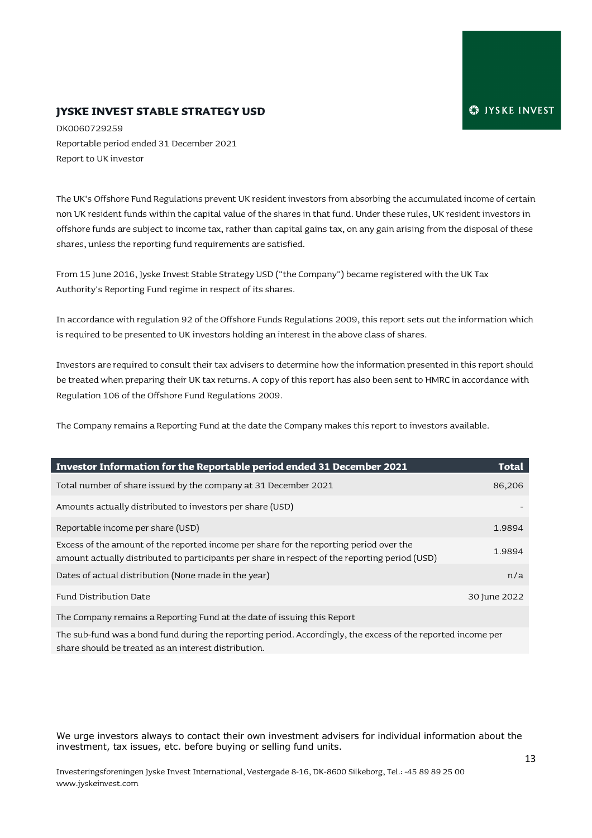#### **JYSKE INVEST STABLE STRATEGY USD**

DK0060729259 Reportable period ended 31 December 2021 Report to UK investor

The UK's Offshore Fund Regulations prevent UK resident investors from absorbing the accumulated income of certain non UK resident funds within the capital value of the shares in that fund. Under these rules, UK resident investors in offshore funds are subject to income tax, rather than capital gains tax, on any gain arising from the disposal of these shares, unless the reporting fund requirements are satisfied.

From 15 June 2016, Jyske Invest Stable Strategy USD ("the Company") became registered with the UK Tax Authority's Reporting Fund regime in respect of its shares.

In accordance with regulation 92 of the Offshore Funds Regulations 2009, this report sets out the information which is required to be presented to UK investors holding an interest in the above class of shares.

Investors are required to consult their tax advisers to determine how the information presented in this report should be treated when preparing their UK tax returns. A copy of this report has also been sent to HMRC in accordance with Regulation 106 of the Offshore Fund Regulations 2009.

The Company remains a Reporting Fund at the date the Company makes this report to investors available.

| Investor Information for the Reportable period ended 31 December 2021                                                                                                                     | Total        |
|-------------------------------------------------------------------------------------------------------------------------------------------------------------------------------------------|--------------|
| Total number of share issued by the company at 31 December 2021                                                                                                                           | 86,206       |
| Amounts actually distributed to investors per share (USD)                                                                                                                                 |              |
| Reportable income per share (USD)                                                                                                                                                         | 1.9894       |
| Excess of the amount of the reported income per share for the reporting period over the<br>amount actually distributed to participants per share in respect of the reporting period (USD) | 1.9894       |
| Dates of actual distribution (None made in the year)                                                                                                                                      | n/a          |
| Fund Distribution Date                                                                                                                                                                    | 30 June 2022 |
| The Contract of the Department of the Constantine Constantine of the Constantine Constantine Constantine Const                                                                            |              |

The Company remains a Reporting Fund at the date of issuing this Report

The sub-fund was a bond fund during the reporting period. Accordingly, the excess of the reported income per share should be treated as an interest distribution.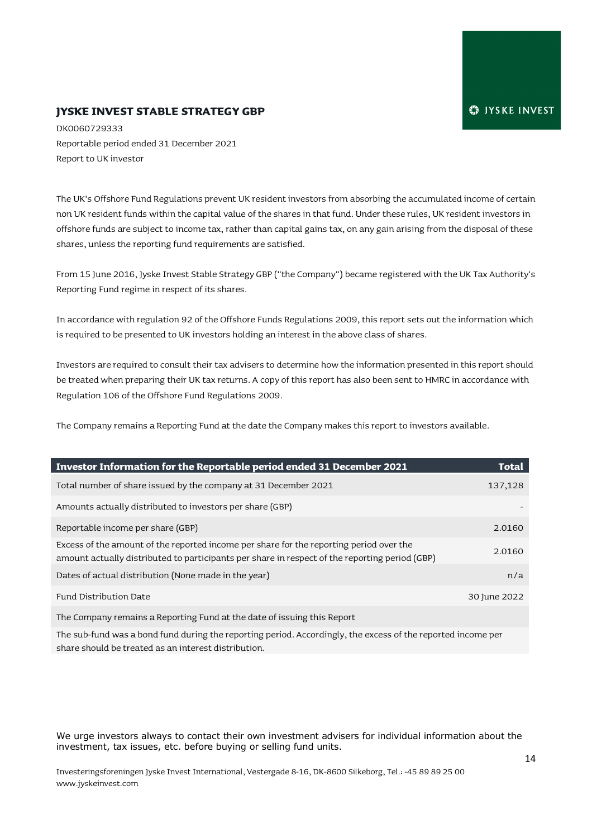#### **JYSKE INVEST STABLE STRATEGY GBP**

DK0060729333 Reportable period ended 31 December 2021 Report to UK investor

The UK's Offshore Fund Regulations prevent UK resident investors from absorbing the accumulated income of certain non UK resident funds within the capital value of the shares in that fund. Under these rules, UK resident investors in offshore funds are subject to income tax, rather than capital gains tax, on any gain arising from the disposal of these shares, unless the reporting fund requirements are satisfied.

From 15 June 2016, Jyske Invest Stable Strategy GBP ("the Company") became registered with the UK Tax Authority's Reporting Fund regime in respect of its shares.

In accordance with regulation 92 of the Offshore Funds Regulations 2009, this report sets out the information which is required to be presented to UK investors holding an interest in the above class of shares.

Investors are required to consult their tax advisers to determine how the information presented in this report should be treated when preparing their UK tax returns. A copy of this report has also been sent to HMRC in accordance with Regulation 106 of the Offshore Fund Regulations 2009.

The Company remains a Reporting Fund at the date the Company makes this report to investors available.

| Investor Information for the Reportable period ended 31 December 2021                                                                                                                     | <b>Total</b> |
|-------------------------------------------------------------------------------------------------------------------------------------------------------------------------------------------|--------------|
| Total number of share issued by the company at 31 December 2021                                                                                                                           | 137,128      |
| Amounts actually distributed to investors per share (GBP)                                                                                                                                 |              |
| Reportable income per share (GBP)                                                                                                                                                         | 2.0160       |
| Excess of the amount of the reported income per share for the reporting period over the<br>amount actually distributed to participants per share in respect of the reporting period (GBP) | 2.0160       |
| Dates of actual distribution (None made in the year)                                                                                                                                      | n/a          |
| Fund Distribution Date                                                                                                                                                                    | 30 June 2022 |
| The Company remains a Departing Fund of the date of icquire this Depart                                                                                                                   |              |

The Company remains a Reporting Fund at the date of issuing this Report

The sub-fund was a bond fund during the reporting period. Accordingly, the excess of the reported income per share should be treated as an interest distribution.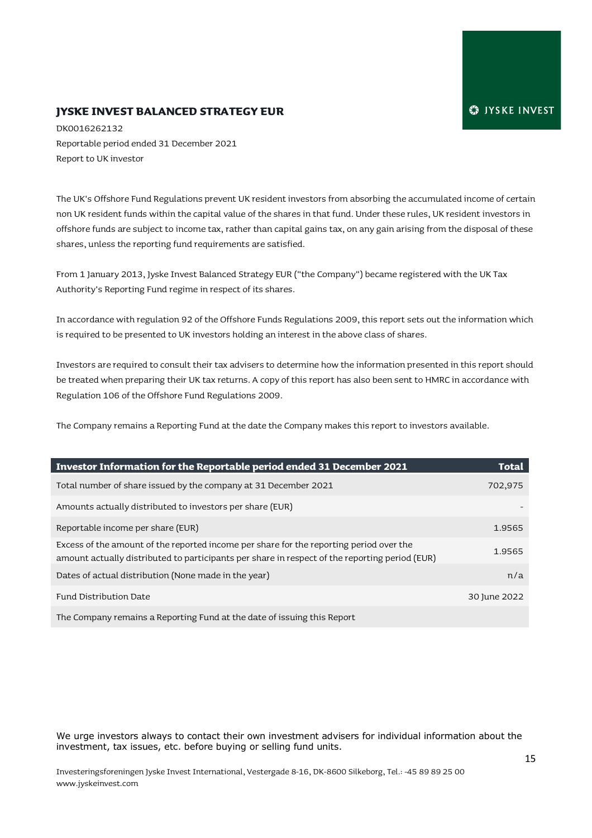#### **JYSKE INVEST BALANCED STRATEGY EUR**

DK0016262132 Reportable period ended 31 December 2021 Report to UK investor

The UK's Offshore Fund Regulations prevent UK resident investors from absorbing the accumulated income of certain non UK resident funds within the capital value of the shares in that fund. Under these rules, UK resident investors in offshore funds are subject to income tax, rather than capital gains tax, on any gain arising from the disposal of these shares, unless the reporting fund requirements are satisfied.

From 1 January 2013, Jyske Invest Balanced Strategy EUR ("the Company") became registered with the UK Tax Authority's Reporting Fund regime in respect of its shares.

In accordance with regulation 92 of the Offshore Funds Regulations 2009, this report sets out the information which is required to be presented to UK investors holding an interest in the above class of shares.

Investors are required to consult their tax advisers to determine how the information presented in this report should be treated when preparing their UK tax returns. A copy of this report has also been sent to HMRC in accordance with Regulation 106 of the Offshore Fund Regulations 2009.

The Company remains a Reporting Fund at the date the Company makes this report to investors available.

| Investor Information for the Reportable period ended 31 December 2021                                                                                                                     | Total        |
|-------------------------------------------------------------------------------------------------------------------------------------------------------------------------------------------|--------------|
| Total number of share issued by the company at 31 December 2021                                                                                                                           | 702,975      |
| Amounts actually distributed to investors per share (EUR)                                                                                                                                 |              |
| Reportable income per share (EUR)                                                                                                                                                         | 1.9565       |
| Excess of the amount of the reported income per share for the reporting period over the<br>amount actually distributed to participants per share in respect of the reporting period (EUR) | 1.9565       |
| Dates of actual distribution (None made in the year)                                                                                                                                      | n/a          |
| Fund Distribution Date                                                                                                                                                                    | 30 June 2022 |
| The Company remains a Reporting Fund at the date of issuing this Report                                                                                                                   |              |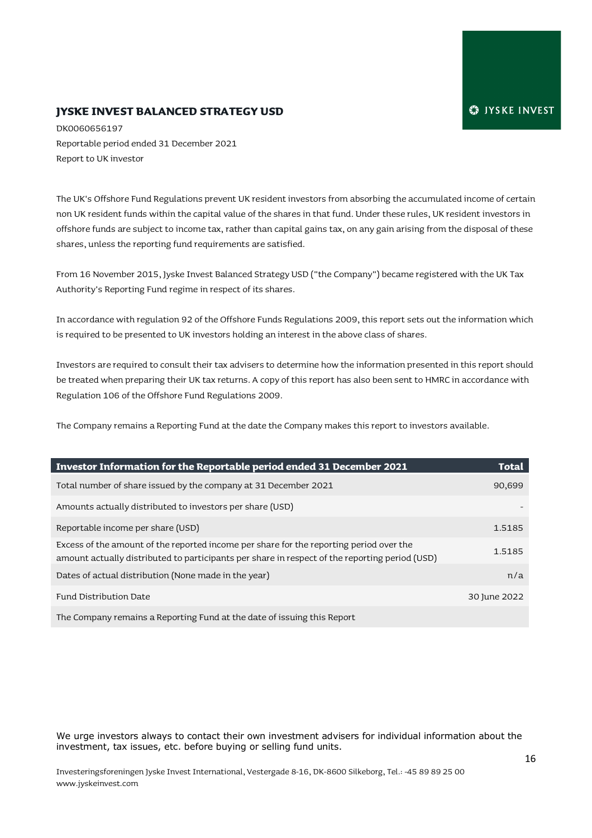#### **JYSKE INVEST BALANCED STRATEGY USD**

DK0060656197 Reportable period ended 31 December 2021 Report to UK investor

The UK's Offshore Fund Regulations prevent UK resident investors from absorbing the accumulated income of certain non UK resident funds within the capital value of the shares in that fund. Under these rules, UK resident investors in offshore funds are subject to income tax, rather than capital gains tax, on any gain arising from the disposal of these shares, unless the reporting fund requirements are satisfied.

From 16 November 2015, Jyske Invest Balanced Strategy USD ("the Company") became registered with the UK Tax Authority's Reporting Fund regime in respect of its shares.

In accordance with regulation 92 of the Offshore Funds Regulations 2009, this report sets out the information which is required to be presented to UK investors holding an interest in the above class of shares.

Investors are required to consult their tax advisers to determine how the information presented in this report should be treated when preparing their UK tax returns. A copy of this report has also been sent to HMRC in accordance with Regulation 106 of the Offshore Fund Regulations 2009.

The Company remains a Reporting Fund at the date the Company makes this report to investors available.

| Investor Information for the Reportable period ended 31 December 2021                                                                                                                     | <b>Total</b> |
|-------------------------------------------------------------------------------------------------------------------------------------------------------------------------------------------|--------------|
| Total number of share issued by the company at 31 December 2021                                                                                                                           | 90,699       |
| Amounts actually distributed to investors per share (USD)                                                                                                                                 |              |
| Reportable income per share (USD)                                                                                                                                                         | 1.5185       |
| Excess of the amount of the reported income per share for the reporting period over the<br>amount actually distributed to participants per share in respect of the reporting period (USD) | 1.5185       |
| Dates of actual distribution (None made in the year)                                                                                                                                      | n/a          |
| Fund Distribution Date                                                                                                                                                                    | 30 June 2022 |
| The Company remains a Reporting Fund at the date of issuing this Report                                                                                                                   |              |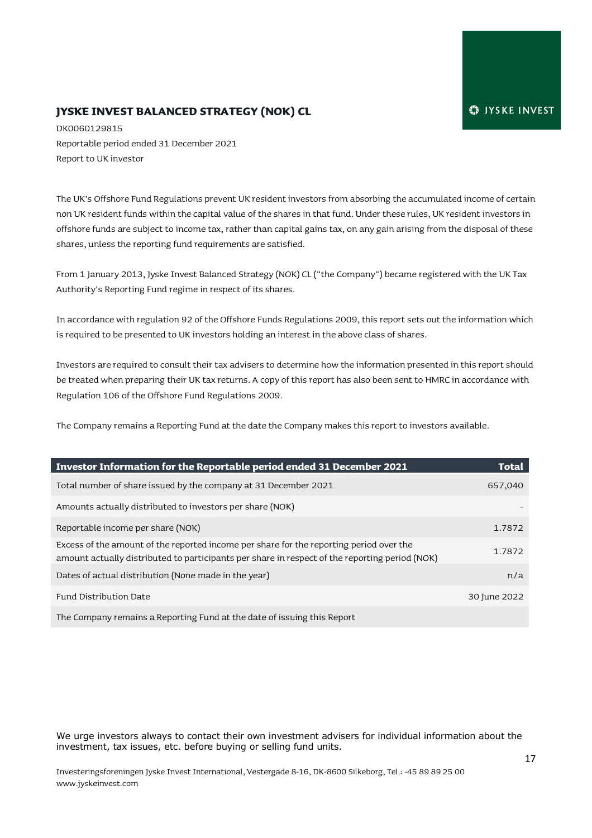# **JYSKE INVEST BALANCED STRATEGY (NOK) CL**

DK0060129815 Reportable period ended 31 December 2021 Report to UK investor

The UK's Offshore Fund Regulations prevent UK resident investors from absorbing the accumulated income of certain non UK resident funds within the capital value of the shares in that fund. Under these rules, UK resident investors in offshore funds are subject to income tax, rather than capital gains tax, on any gain arising from the disposal of these shares, unless the reporting fund requirements are satisfied.

From 1 January 2013, Jyske Invest Balanced Strategy (NOK) CL ("the Company") became registered with the UK Tax Authority's Reporting Fund regime in respect of its shares.

In accordance with regulation 92 of the Offshore Funds Regulations 2009, this report sets out the information which is required to be presented to UK investors holding an interest in the above class of shares.

Investors are required to consult their tax advisers to determine how the information presented in this report should be treated when preparing their UK tax returns. A copy of this report has also been sent to HMRC in accordance with Regulation 106 of the Offshore Fund Regulations 2009.

The Company remains a Reporting Fund at the date the Company makes this report to investors available.

| Investor Information for the Reportable period ended 31 December 2021                                                                                                                     | Total        |
|-------------------------------------------------------------------------------------------------------------------------------------------------------------------------------------------|--------------|
| Total number of share issued by the company at 31 December 2021                                                                                                                           | 657,040      |
| Amounts actually distributed to investors per share (NOK)                                                                                                                                 |              |
| Reportable income per share (NOK)                                                                                                                                                         | 1.7872       |
| Excess of the amount of the reported income per share for the reporting period over the<br>amount actually distributed to participants per share in respect of the reporting period (NOK) | 1.7872       |
| Dates of actual distribution (None made in the year)                                                                                                                                      | n/a          |
| Fund Distribution Date                                                                                                                                                                    | 30 June 2022 |
| The Company remains a Reporting Fund at the date of issuing this Report                                                                                                                   |              |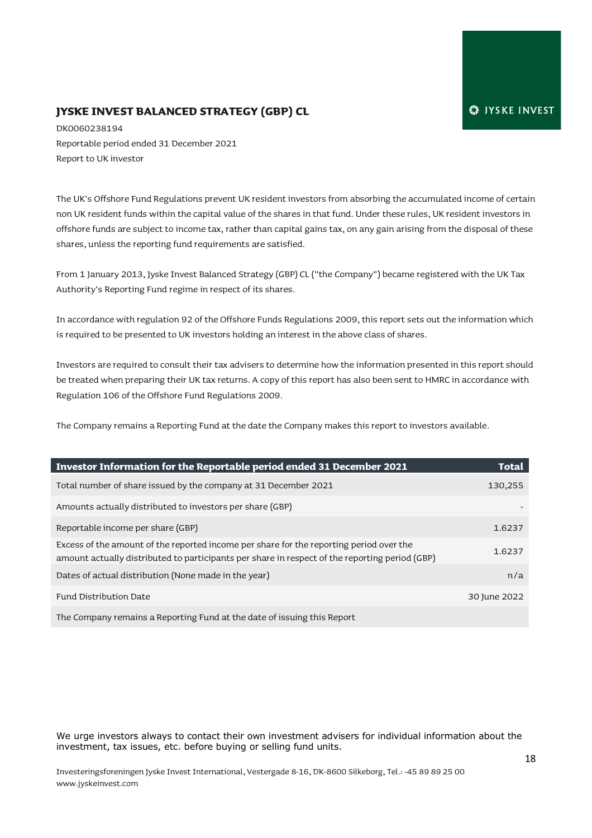# **JYSKE INVEST BALANCED STRATEGY (GBP) CL**

DK0060238194 Reportable period ended 31 December 2021 Report to UK investor

The UK's Offshore Fund Regulations prevent UK resident investors from absorbing the accumulated income of certain non UK resident funds within the capital value of the shares in that fund. Under these rules, UK resident investors in offshore funds are subject to income tax, rather than capital gains tax, on any gain arising from the disposal of these shares, unless the reporting fund requirements are satisfied.

From 1 January 2013, Jyske Invest Balanced Strategy (GBP) CL ("the Company") became registered with the UK Tax Authority's Reporting Fund regime in respect of its shares.

In accordance with regulation 92 of the Offshore Funds Regulations 2009, this report sets out the information which is required to be presented to UK investors holding an interest in the above class of shares.

Investors are required to consult their tax advisers to determine how the information presented in this report should be treated when preparing their UK tax returns. A copy of this report has also been sent to HMRC in accordance with Regulation 106 of the Offshore Fund Regulations 2009.

The Company remains a Reporting Fund at the date the Company makes this report to investors available.

| Investor Information for the Reportable period ended 31 December 2021                                                                                                                     | <b>Total</b> |
|-------------------------------------------------------------------------------------------------------------------------------------------------------------------------------------------|--------------|
| Total number of share issued by the company at 31 December 2021                                                                                                                           | 130,255      |
| Amounts actually distributed to investors per share (GBP)                                                                                                                                 |              |
| Reportable income per share (GBP)                                                                                                                                                         | 1.6237       |
| Excess of the amount of the reported income per share for the reporting period over the<br>amount actually distributed to participants per share in respect of the reporting period (GBP) | 1.6237       |
| Dates of actual distribution (None made in the year)                                                                                                                                      | n/a          |
| Fund Distribution Date                                                                                                                                                                    | 30 June 2022 |
| The Company remains a Reporting Fund at the date of issuing this Report                                                                                                                   |              |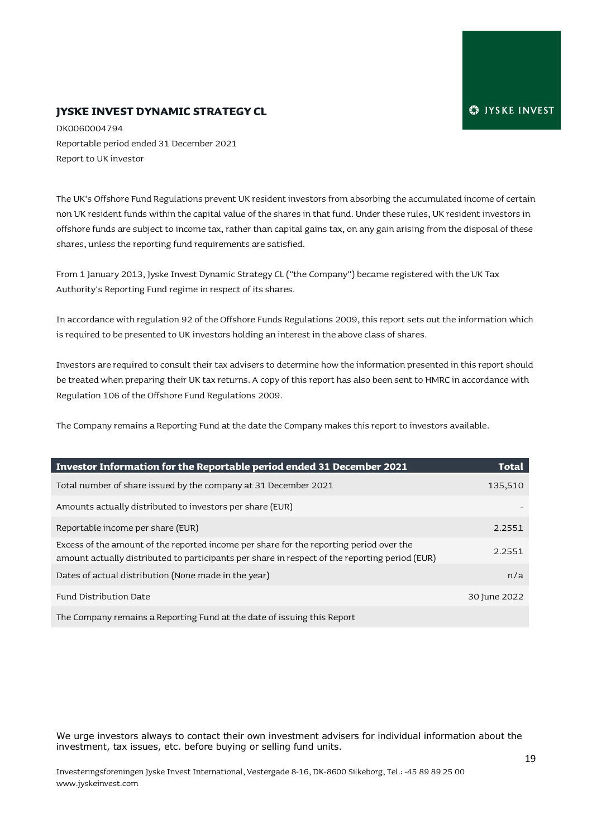#### **JYSKE INVEST DYNAMIC STRATEGY CL**

DK0060004794 Reportable period ended 31 December 2021 Report to UK investor

The UK's Offshore Fund Regulations prevent UK resident investors from absorbing the accumulated income of certain non UK resident funds within the capital value of the shares in that fund. Under these rules, UK resident investors in offshore funds are subject to income tax, rather than capital gains tax, on any gain arising from the disposal of these shares, unless the reporting fund requirements are satisfied.

From 1 January 2013, Jyske Invest Dynamic Strategy CL ("the Company") became registered with the UK Tax Authority's Reporting Fund regime in respect of its shares.

In accordance with regulation 92 of the Offshore Funds Regulations 2009, this report sets out the information which is required to be presented to UK investors holding an interest in the above class of shares.

Investors are required to consult their tax advisers to determine how the information presented in this report should be treated when preparing their UK tax returns. A copy of this report has also been sent to HMRC in accordance with Regulation 106 of the Offshore Fund Regulations 2009.

The Company remains a Reporting Fund at the date the Company makes this report to investors available.

| Investor Information for the Reportable period ended 31 December 2021                                                                                                                     | <b>Total</b> |
|-------------------------------------------------------------------------------------------------------------------------------------------------------------------------------------------|--------------|
| Total number of share issued by the company at 31 December 2021                                                                                                                           | 135,510      |
| Amounts actually distributed to investors per share (EUR)                                                                                                                                 |              |
| Reportable income per share (EUR)                                                                                                                                                         | 2.2551       |
| Excess of the amount of the reported income per share for the reporting period over the<br>amount actually distributed to participants per share in respect of the reporting period (EUR) | 2.2551       |
| Dates of actual distribution (None made in the year)                                                                                                                                      | n/a          |
| Fund Distribution Date                                                                                                                                                                    | 30 June 2022 |
| The Company remains a Reporting Fund at the date of issuing this Report                                                                                                                   |              |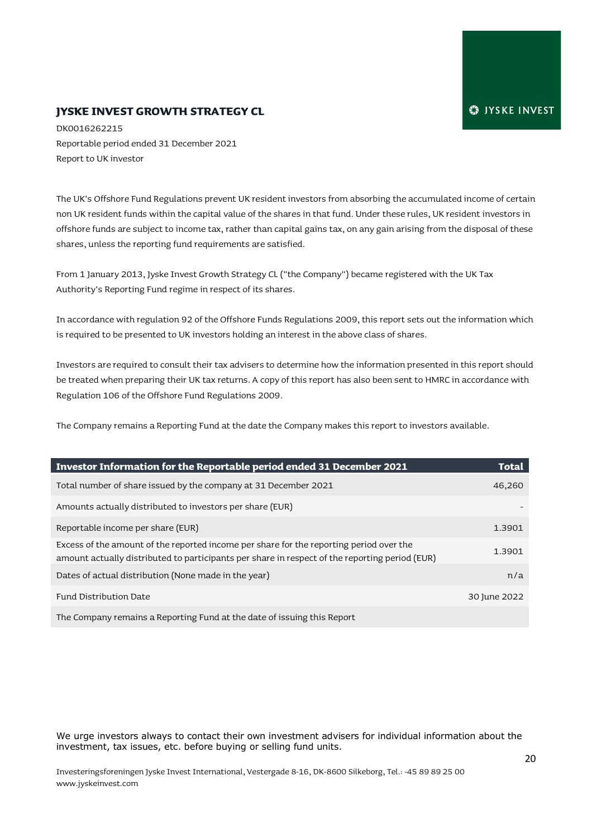#### **JYSKE INVEST GROWTH STRATEGY CL**

DK0016262215 Reportable period ended 31 December 2021 Report to UK investor

The UK's Offshore Fund Regulations prevent UK resident investors from absorbing the accumulated income of certain non UK resident funds within the capital value of the shares in that fund. Under these rules, UK resident investors in offshore funds are subject to income tax, rather than capital gains tax, on any gain arising from the disposal of these shares, unless the reporting fund requirements are satisfied.

From 1 January 2013, Jyske Invest Growth Strategy CL ("the Company") became registered with the UK Tax Authority's Reporting Fund regime in respect of its shares.

In accordance with regulation 92 of the Offshore Funds Regulations 2009, this report sets out the information which is required to be presented to UK investors holding an interest in the above class of shares.

Investors are required to consult their tax advisers to determine how the information presented in this report should be treated when preparing their UK tax returns. A copy of this report has also been sent to HMRC in accordance with Regulation 106 of the Offshore Fund Regulations 2009.

The Company remains a Reporting Fund at the date the Company makes this report to investors available.

| Investor Information for the Reportable period ended 31 December 2021                                                                                                                     | <b>Total</b> |
|-------------------------------------------------------------------------------------------------------------------------------------------------------------------------------------------|--------------|
| Total number of share issued by the company at 31 December 2021                                                                                                                           | 46,260       |
| Amounts actually distributed to investors per share (EUR)                                                                                                                                 |              |
| Reportable income per share (EUR)                                                                                                                                                         | 1.3901       |
| Excess of the amount of the reported income per share for the reporting period over the<br>amount actually distributed to participants per share in respect of the reporting period (EUR) | 1.3901       |
| Dates of actual distribution (None made in the year)                                                                                                                                      | n/a          |
| Fund Distribution Date                                                                                                                                                                    | 30 June 2022 |
| The Company remains a Reporting Fund at the date of issuing this Report                                                                                                                   |              |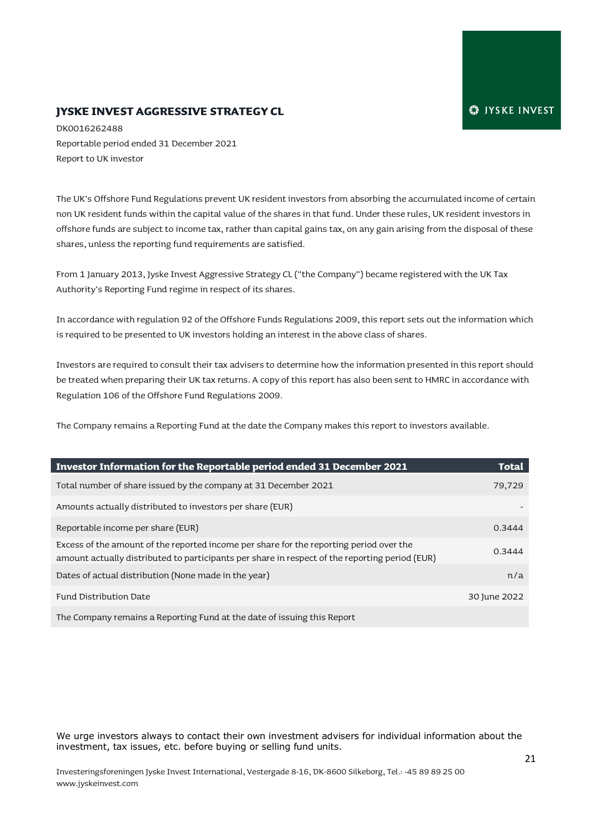#### **JYSKE INVEST AGGRESSIVE STRATEGY CL**

DK0016262488 Reportable period ended 31 December 2021 Report to UK investor

The UK's Offshore Fund Regulations prevent UK resident investors from absorbing the accumulated income of certain non UK resident funds within the capital value of the shares in that fund. Under these rules, UK resident investors in offshore funds are subject to income tax, rather than capital gains tax, on any gain arising from the disposal of these shares, unless the reporting fund requirements are satisfied.

From 1 January 2013, Jyske Invest Aggressive Strategy CL ("the Company") became registered with the UK Tax Authority's Reporting Fund regime in respect of its shares.

In accordance with regulation 92 of the Offshore Funds Regulations 2009, this report sets out the information which is required to be presented to UK investors holding an interest in the above class of shares.

Investors are required to consult their tax advisers to determine how the information presented in this report should be treated when preparing their UK tax returns. A copy of this report has also been sent to HMRC in accordance with Regulation 106 of the Offshore Fund Regulations 2009.

The Company remains a Reporting Fund at the date the Company makes this report to investors available.

| Investor Information for the Reportable period ended 31 December 2021                                                                                                                     | <b>Total</b> |
|-------------------------------------------------------------------------------------------------------------------------------------------------------------------------------------------|--------------|
| Total number of share issued by the company at 31 December 2021                                                                                                                           | 79,729       |
| Amounts actually distributed to investors per share (EUR)                                                                                                                                 |              |
| Reportable income per share (EUR)                                                                                                                                                         | 0.3444       |
| Excess of the amount of the reported income per share for the reporting period over the<br>amount actually distributed to participants per share in respect of the reporting period (EUR) | 0.3444       |
| Dates of actual distribution (None made in the year)                                                                                                                                      | n/a          |
| Fund Distribution Date                                                                                                                                                                    | 30 June 2022 |
| The Company remains a Reporting Fund at the date of issuing this Report                                                                                                                   |              |